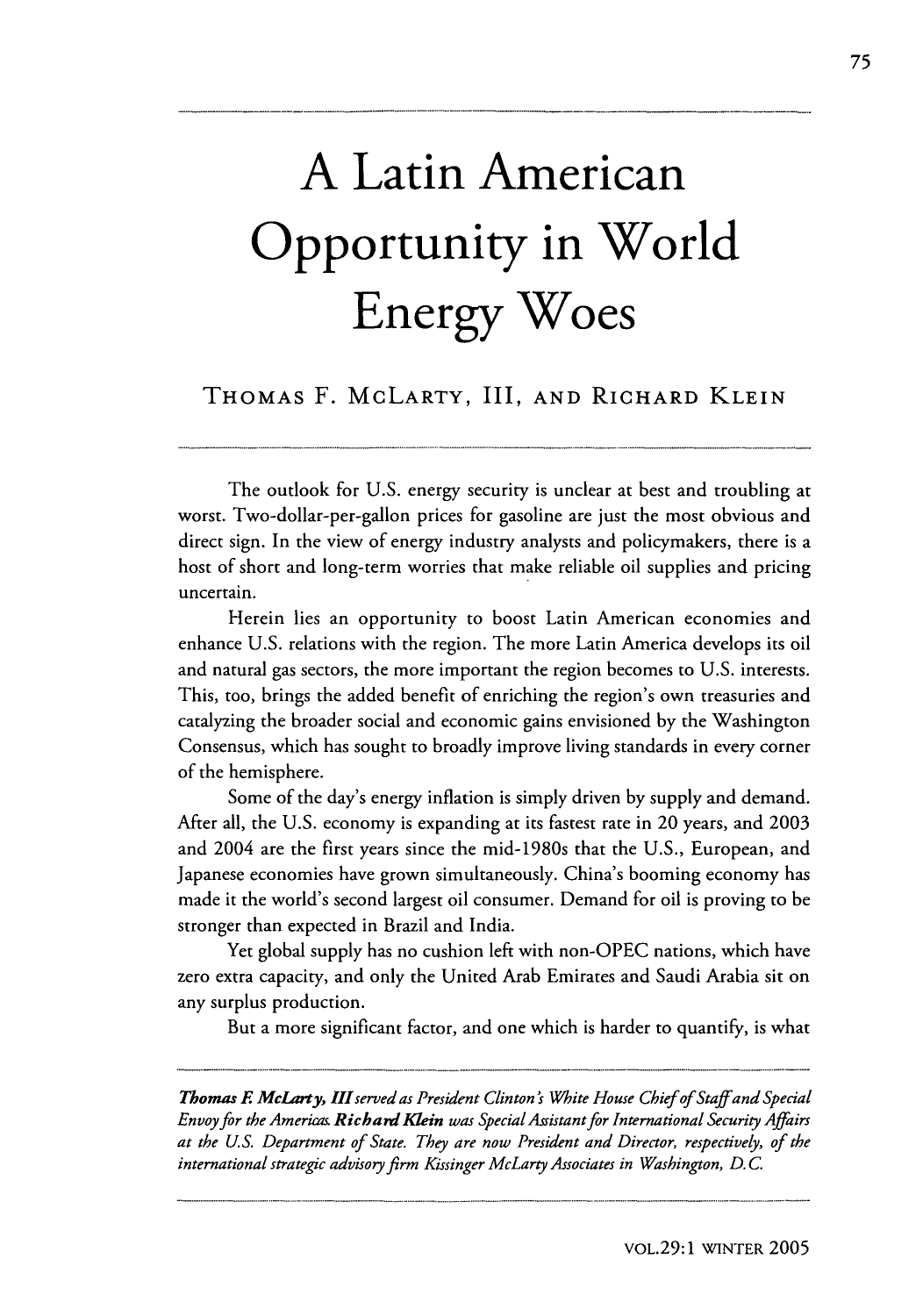## **A Latin American Opportunity in World Energy Woes**

THOMAS F. McLARTY, III, AND RICHARD KLEIN

The outlook for U.S. energy security is unclear at best and troubling at worst. Two-dollar-per-gallon prices for gasoline are just the most obvious and direct sign. In the view of energy industry analysts and policymakers, there is a host of short and long-term worries that make reliable oil supplies and pricing uncertain.

Herein lies an opportunity to boost Latin American economies and enhance U.S. relations with the region. The more Latin America develops its oil and natural gas sectors, the more important the region becomes to U.S. interests. This, too, brings the added benefit of enriching the region's own treasuries and catalyzing the broader social and economic gains envisioned by the Washington Consensus, which has sought to broadly improve living standards in every corner of the hemisphere.

Some of the day's energy inflation is simply driven by supply and demand. After all, the U.S. economy is expanding at its fastest rate in 20 years, and 2003 and 2004 are the first years since the mid-1980s that the U.S., European, and Japanese economies have grown simultaneously. China's booming economy has made it the world's second largest oil consumer. Demand for oil is proving to be stronger than expected in Brazil and India.

Yet global supply has no cushion left with non-OPEC nations, which have zero extra capacity, and only the United Arab Emirates and Saudi Arabia sit on any surplus production.

But a more significant factor, and one which is harder to quantify, is what

*Thomas F MeLarty, IIIserved as President Clinton s White House Chief of Staff and Special Envoy for the Americas Richard Klein was Special Assistant for International Security Affairs at the U.S. Department of State. They are now President and Director, respectively, of the international strategic advisory firm Kissinger McLarty Associates in Washington, D. C.*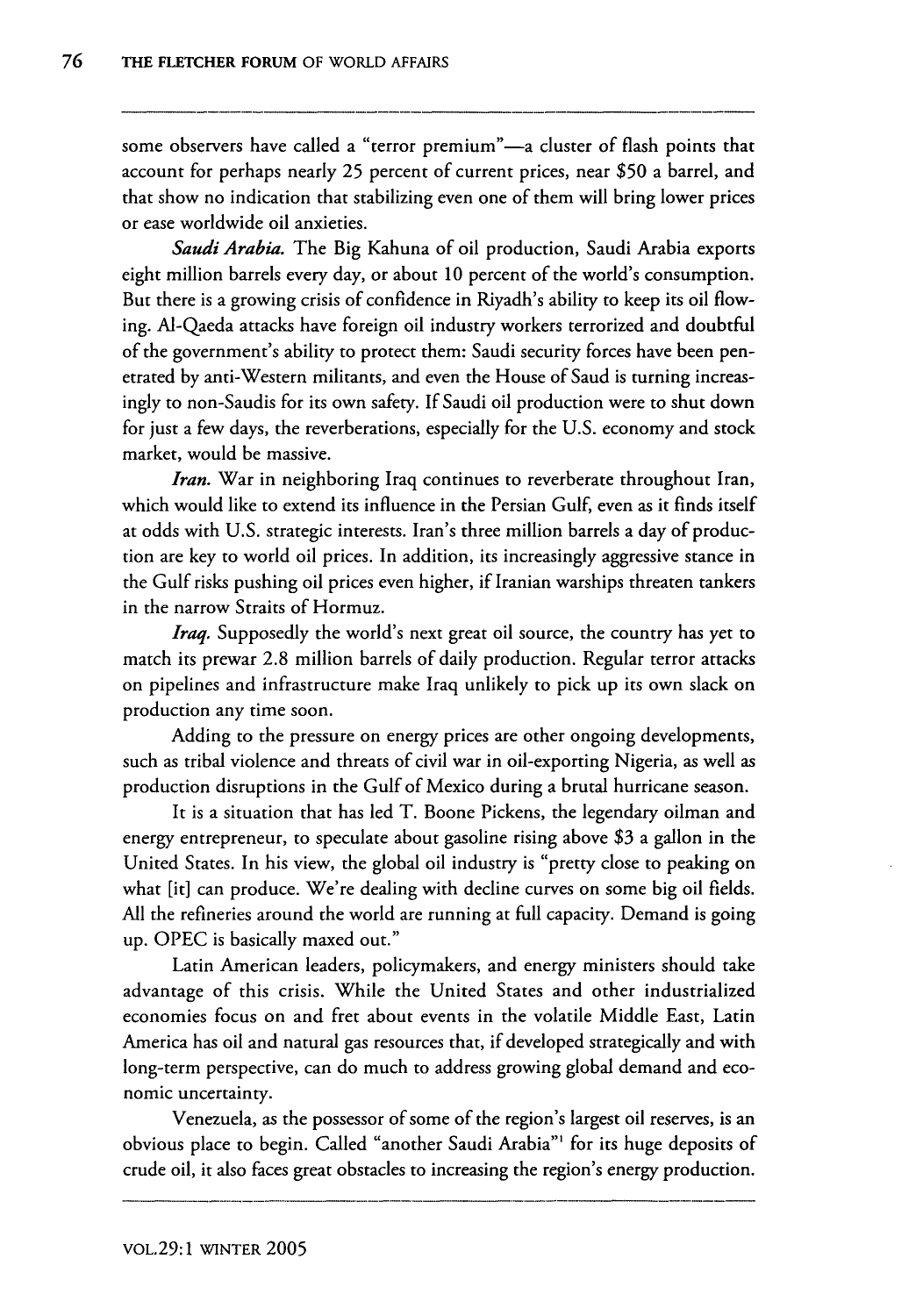some observers have called a "terror premium"-a cluster of flash points that account for perhaps nearly 25 percent of current prices, near \$50 a barrel, and that show no indication that stabilizing even one of them will bring lower prices or ease worldwide oil anxieties.

*Saudi Arabia.* The Big Kahuna of oil production, Saudi Arabia exports eight million barrels every day, or about 10 percent of the world's consumption. But there is a growing crisis of confidence in Riyadh's ability to keep its oil flowing. Al-Qaeda attacks have foreign oil industry workers terrorized and doubtful of the government's ability to protect them: Saudi security forces have been penetrated by anti-Western militants, and even the House of Saud is turning increasingly to non-Saudis for its own safety. If Saudi oil production were to shut down for just a few days, the reverberations, especially for the U.S. economy and stock market, would be massive.

*Iran.* War in neighboring Iraq continues to reverberate throughout Iran, which would like to extend its influence in the Persian Gulf, even as it finds itself at odds with U.S. strategic interests. Iran's three million barrels a day of production are key to world oil prices. In addition, its increasingly aggressive stance in the Gulf risks pushing oil prices even higher, if Iranian warships threaten tankers in the narrow Straits of Hormuz.

*Iraq.* Supposedly the world's next great oil source, the country has yet to match its prewar 2.8 million barrels of daily production. Regular terror attacks on pipelines and infrastructure make Iraq unlikely to pick up its own slack on production any time soon.

Adding to the pressure on energy prices are other ongoing developments, such as tribal violence and threats of civil war in oil-exporting Nigeria, as well as production disruptions in the Gulf of Mexico during a brutal hurricane season.

It is a situation that has led T. Boone Pickens, the legendary oilman and energy entrepreneur, to speculate about gasoline rising above \$3 a gallon in the United States. In his view, the global oil industry is "pretty close to peaking on what [it] can produce. We're dealing with decline curves on some big oil fields. All the refineries around the world are running at full capacity. Demand is going up. OPEC is basically maxed out."

Latin American leaders, policymakers, and energy ministers should take advantage of this crisis. While the United States and other industrialized economies focus on and fret about events in the volatile Middle East, Latin America has oil and natural gas resources that, if developed strategically and with long-term perspective, can do much to address growing global demand and economic uncertainty.

Venezuela, as the possessor of some of the region's largest oil reserves, is an obvious place to begin. Called "another Saudi Arabia"' for its huge deposits of crude oil, it also faces great obstacles to increasing the region's energy production.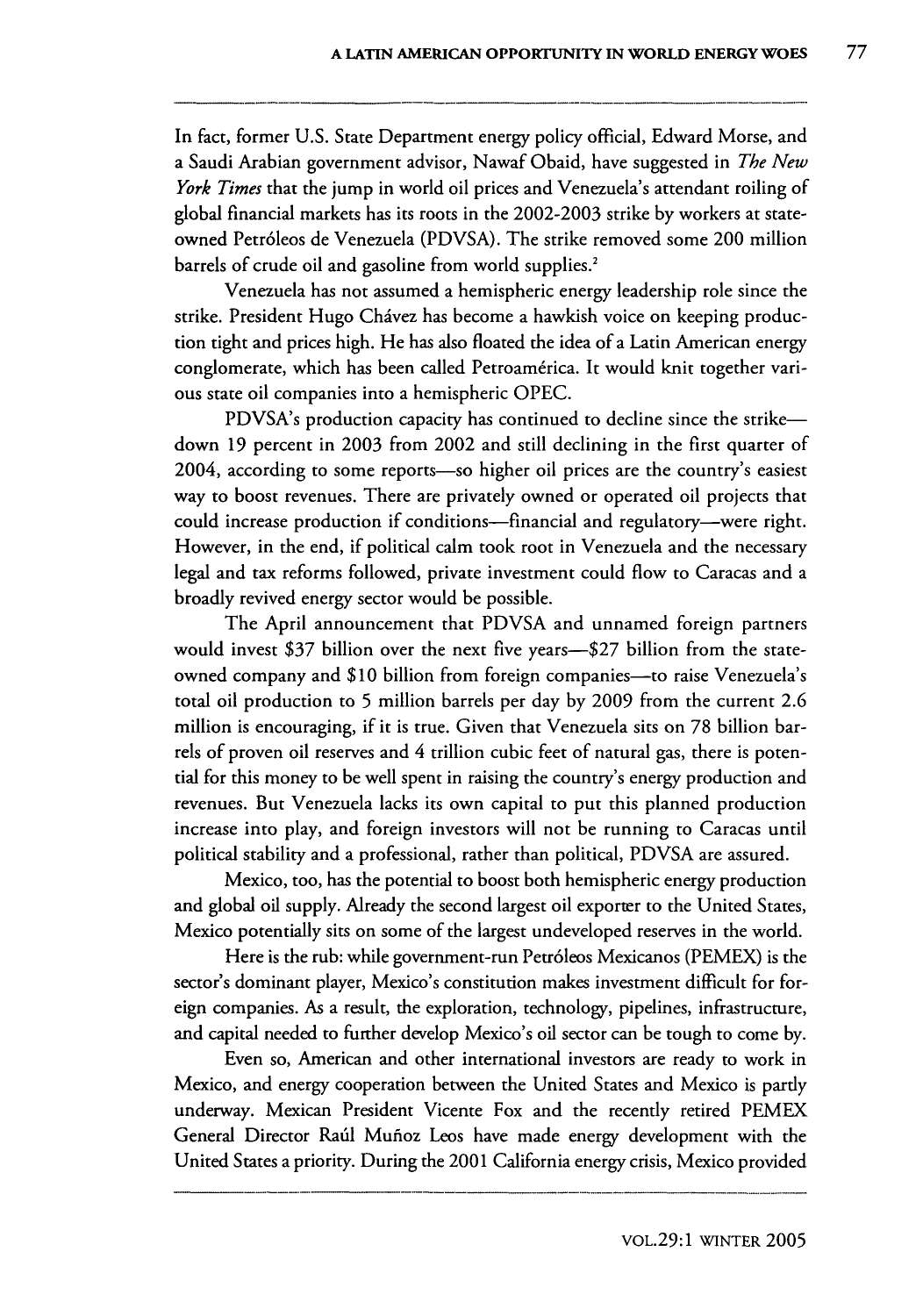In fact, former U.S. State Department energy policy official, Edward Morse, and a Saudi Arabian government advisor, Nawaf Obaid, have suggested in *The New York Times* that the jump in world oil prices and Venezuela's attendant roiling of global financial markets has its roots in the 2002-2003 strike by workers at stateowned Petr6leos de Venezuela (PDVSA). The strike removed some 200 million barrels of crude oil and gasoline from world supplies.<sup>2</sup>

Venezuela has not assumed a hemispheric energy leadership role since the strike. President Hugo Chávez has become a hawkish voice on keeping production tight and prices high. He has also floated the idea of a Latin American energy conglomerate, which has been called Petroamérica. It would knit together various state oil companies into a hemispheric OPEC.

PDVSA's production capacity has continued to decline since the strikedown **19** percent in 2003 from 2002 and still declining in the first quarter of 2004, according to some reports-so higher oil prices are the country's easiest way to boost revenues. There are privately owned or operated oil projects that could increase production if conditions-financial and regulatory-were right. However, in the end, if political calm took root in Venezuela and the necessary legal and tax reforms followed, private investment could flow to Caracas and a broadly revived energy sector would be possible.

The April announcement that PDVSA and unnamed foreign partners would invest \$37 billion over the next five years-\$27 billion from the stateowned company and \$10 billion from foreign companies-to raise Venezuela's total oil production to **5** million barrels per day by 2009 from the current **2.6** million is encouraging, if it is true. Given that Venezuela sits on 78 billion barrels of proven oil reserves and 4 trillion cubic feet of natural gas, there is potential for this money to be well spent in raising the country's energy production and revenues. But Venezuela lacks its own capital to put this planned production increase into play, and foreign investors will not be running to Caracas until political stability and a professional, rather than political, PDVSA are assured.

Mexico, too, has the potential to boost both hemispheric energy production and global oil supply. Already the second largest oil exporter to the United States, Mexico potentially sits on some of the largest undeveloped reserves in the world.

Here is the rub: while government-run Petr6leos Mexicanos (PEMEX) is the sector's dominant player, Mexico's constitution makes investment difficult for foreign companies. As a result, the exploration, technology, pipelines, infrastructure, and capital needed to further develop Mexico's oil sector can be tough to come by.

Even so, American and other international investors are ready to work in Mexico, and energy cooperation between the United States and Mexico is partly underway. Mexican President Vicente Fox and the recently retired PEMEX General Director Raúl Muñoz Leos have made energy development with the United States a priority. During the 2001 California energy crisis, Mexico provided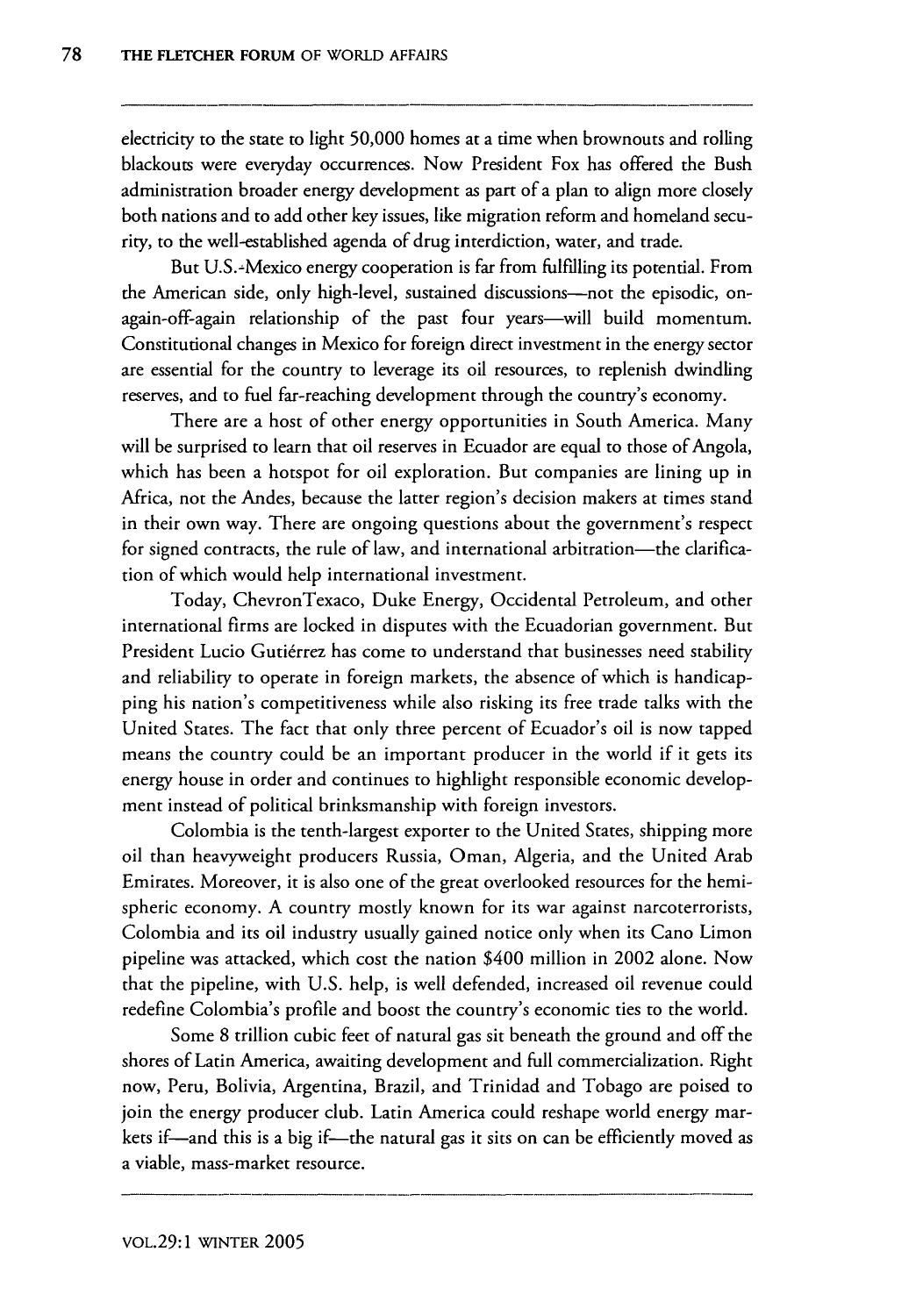electricity to the state to light 50,000 homes at a time when brownouts and rolling blackouts were everyday occurrences. Now President Fox has offered the Bush administration broader energy development as part of a plan to align more closely both nations and to add other key issues, like migration reform and homeland security, to the well-established agenda of drug interdiction, water, and trade.

But U.S.-Mexico energy cooperation is far from fulfilling its potential. From the American side, only high-level, sustained discussions-not the episodic, onagain-off-again relationship of the past four years-will build momentum. Constitutional changes in Mexico for foreign direct investment in the energy sector are essential for the country to leverage its oil resources, to replenish dwindling reserves, and to fuel far-reaching development through the country's economy.

There are a host of other energy opportunities in South America. Many will be surprised to learn that oil reserves in Ecuador are equal to those of Angola, which has been a hotspot for oil exploration. But companies are lining up in Africa, not the Andes, because the latter region's decision makers at times stand in their own way. There are ongoing questions about the government's respect for signed contracts, the rule of law, and international arbitration-the clarification of which would help international investment.

Today, ChevronTexaco, Duke Energy, Occidental Petroleum, and other international firms are locked in disputes with the Ecuadorian government. But President Lucio Gutiérrez has come to understand that businesses need stability and reliability to operate in foreign markets, the absence of which is handicapping his nation's competitiveness while also risking its free trade talks with the United States. The fact that only three percent of Ecuador's oil is now tapped means the country could be an important producer in the world if it gets its energy house in order and continues to highlight responsible economic development instead of political brinksmanship with foreign investors.

Colombia is the tenth-largest exporter to the United States, shipping more oil than heavyweight producers Russia, Oman, Algeria, and the United Arab Emirates. Moreover, it is also one of the great overlooked resources for the hemispheric economy. A country mostly known for its war against narcoterrorists, Colombia and its oil industry usually gained notice only when its Cano Limon pipeline was attacked, which cost the nation \$400 million in 2002 alone. Now that the pipeline, with U.S. help, is well defended, increased oil revenue could redefine Colombia's profile and boost the country's economic ties to the world.

Some 8 trillion cubic feet of natural gas sit beneath the ground and off the shores of Latin America, awaiting development and full commercialization. Right now, Peru, Bolivia, Argentina, Brazil, and Trinidad and Tobago are poised to join the energy producer club. Latin America could reshape world energy markets if—and this is a big if—the natural gas it sits on can be efficiently moved as a viable, mass-market resource.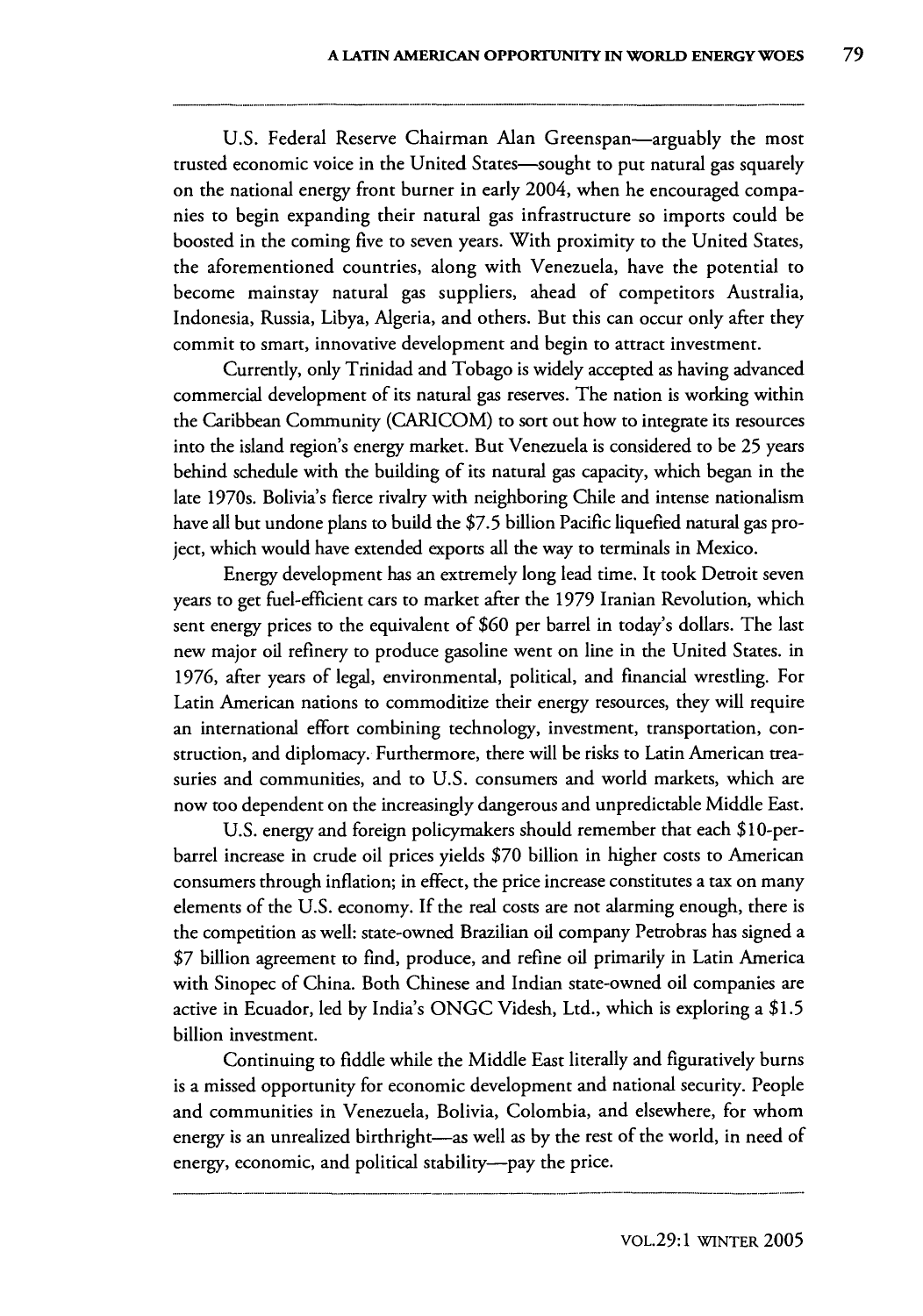**U.S.** Federal Reserve Chairman Alan Greenspan-arguably the most trusted economic voice in the United States-sought to put natural gas squarely on the national energy front burner in early 2004, when he encouraged companies to begin expanding their natural gas infrastructure so imports could be boosted in the coming five to seven years. With proximity to the United States, the aforementioned countries, along with Venezuela, have the potential to become mainstay natural gas suppliers, ahead of competitors Australia, Indonesia, Russia, Libya, Algeria, and others. But this can occur only after they commit to smart, innovative development and begin to attract investment.

Currently, only Trinidad and Tobago is widely accepted as having advanced commercial development of its natural gas reserves. The nation is working within the Caribbean Community (CARICOM) to sort out how to integrate its resources into the island region's energy market. But Venezuela is considered to be **25** years behind schedule with the building of its natural gas capacity, which began in the late 1970s. Bolivia's fierce rivalry with neighboring Chile and intense nationalism have all but undone plans to build the **\$7.5** billion Pacific liquefied natural gas project, which would have extended exports all the way to terminals in Mexico.

Energy development has an extremely long lead time. It took Detroit seven years to get fuel-efficient cars to market after the **1979** Iranian Revolution, which sent energy prices to the equivalent of **\$60** per barrel in today's dollars. The last new major oil refinery to produce gasoline went on line in the United States. in **1976,** after years of legal, environmental, political, and financial wrestling. For Latin American nations to commoditize their energy resources, they will require an international effort combining technology, investment, transportation, construction, and diplomacy. Furthermore, there will be risks to Latin American treasuries and communities, and to **U.S.** consumers and world markets, which are now too dependent on the increasingly dangerous and unpredictable Middle East.

**U.S.** energy and foreign policymakers should remember that each \$10-perbarrel increase in crude oil prices yields **\$70** billion in higher costs to American consumers through inflation; in effect, the price increase constitutes a tax on many elements of the **U.S.** economy. **If** the real costs are not alarming enough, there is the competition as well: state-owned Brazilian oil company Petrobras has signed a **\$7** billion agreement to find, produce, and refine oil primarily in Latin America with Sinopec of China. Both Chinese and Indian state-owned oil companies are active in Ecuador, led **by** India's **ONGC** Videsh, Ltd., which is exploring a **\$1.5** billion investment.

Continuing to fiddle while the Middle East literally and figuratively burns is a missed opportunity for economic development and national security. People and communities in Venezuela, Bolivia, Colombia, and elsewhere, for whom energy is an unrealized birthright-as well as by the rest of the world, in need of energy, economic, and political stability--pay the price.